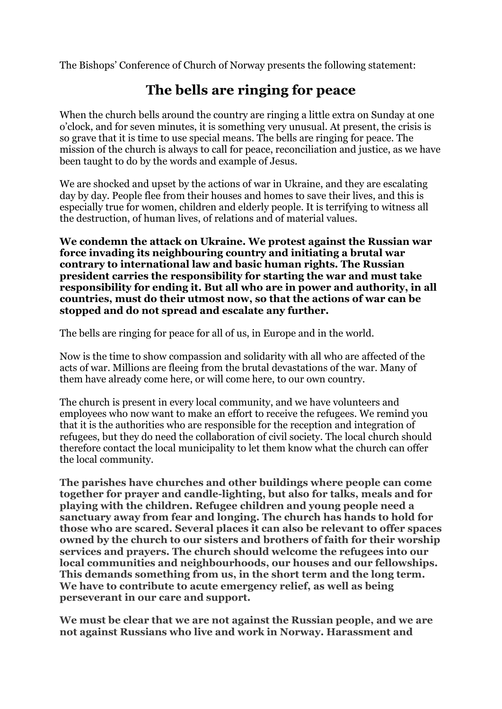The Bishops' Conference of Church of Norway presents the following statement:

## **The bells are ringing for peace**

When the church bells around the country are ringing a little extra on Sunday at one o'clock, and for seven minutes, it is something very unusual. At present, the crisis is so grave that it is time to use special means. The bells are ringing for peace. The mission of the church is always to call for peace, reconciliation and justice, as we have been taught to do by the words and example of Jesus.

We are shocked and upset by the actions of war in Ukraine, and they are escalating day by day. People flee from their houses and homes to save their lives, and this is especially true for women, children and elderly people. It is terrifying to witness all the destruction, of human lives, of relations and of material values.

**We condemn the attack on Ukraine. We protest against the Russian war force invading its neighbouring country and initiating a brutal war contrary to international law and basic human rights. The Russian president carries the responsibility for starting the war and must take responsibility for ending it. But all who are in power and authority, in all countries, must do their utmost now, so that the actions of war can be stopped and do not spread and escalate any further.** 

The bells are ringing for peace for all of us, in Europe and in the world.

Now is the time to show compassion and solidarity with all who are affected of the acts of war. Millions are fleeing from the brutal devastations of the war. Many of them have already come here, or will come here, to our own country.

The church is present in every local community, and we have volunteers and employees who now want to make an effort to receive the refugees. We remind you that it is the authorities who are responsible for the reception and integration of refugees, but they do need the collaboration of civil society. The local church should therefore contact the local municipality to let them know what the church can offer the local community.

**The parishes have churches and other buildings where people can come together for prayer and candle-lighting, but also for talks, meals and for playing with the children. Refugee children and young people need a sanctuary away from fear and longing. The church has hands to hold for those who are scared. Several places it can also be relevant to offer spaces owned by the church to our sisters and brothers of faith for their worship services and prayers. The church should welcome the refugees into our local communities and neighbourhoods, our houses and our fellowships. This demands something from us, in the short term and the long term. We have to contribute to acute emergency relief, as well as being perseverant in our care and support.** 

**We must be clear that we are not against the Russian people, and we are not against Russians who live and work in Norway. Harassment and**